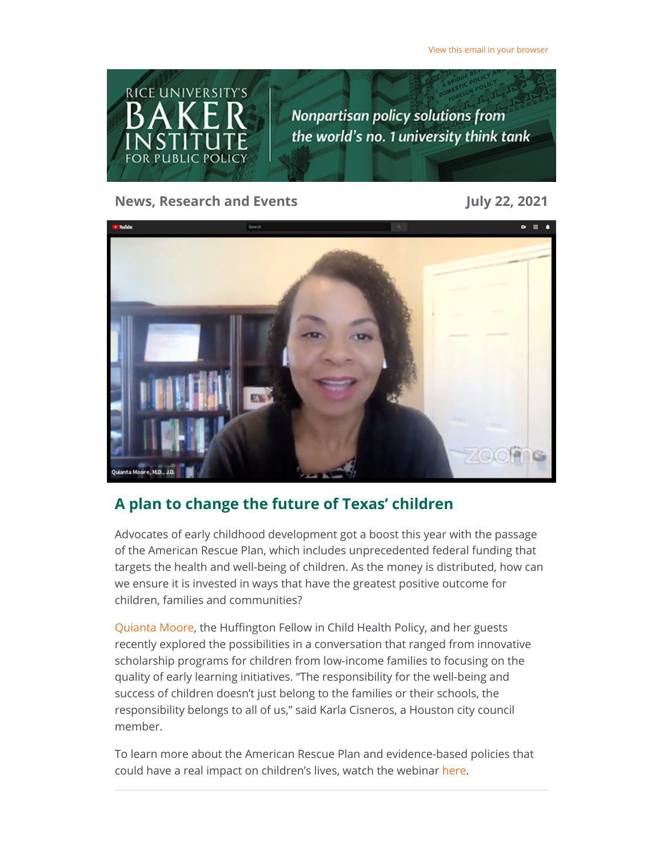

**News, Research and Events July 22, 2021**



## **A plan to change the future of Texas' children**

Advocates of early childhood development got a boost this year with the passage of the American Rescue Plan, which includes unprecedented federal funding that targets the health and well-being of children. As the money is distributed, how can we ensure it is invested in ways that have the greatest positive outcome for children, families and communities?

[Quianta Moore](https://riceconnect.rice.edu/page.redir?target=%3b%22&srcid=240911&srctid=1&erid=e4a4aa18-188c-4887-a67c-480803755513&trid=e4a4aa18-188c-4887-a67c-480803755513), the Huffington Fellow in Child Health Policy, and her guests recently explored the possibilities in a conversation that ranged from innovative scholarship programs for children from low-income families to focusing on the quality of early learning initiatives. "The responsibility for the well-being and success of children doesn't just belong to the families or their schools, the responsibility belongs to all of us," said Karla Cisneros, a Houston city council member.

To learn more about the American Rescue Plan and evidence-based policies that could have a real impact on children's lives, watch the webinar here.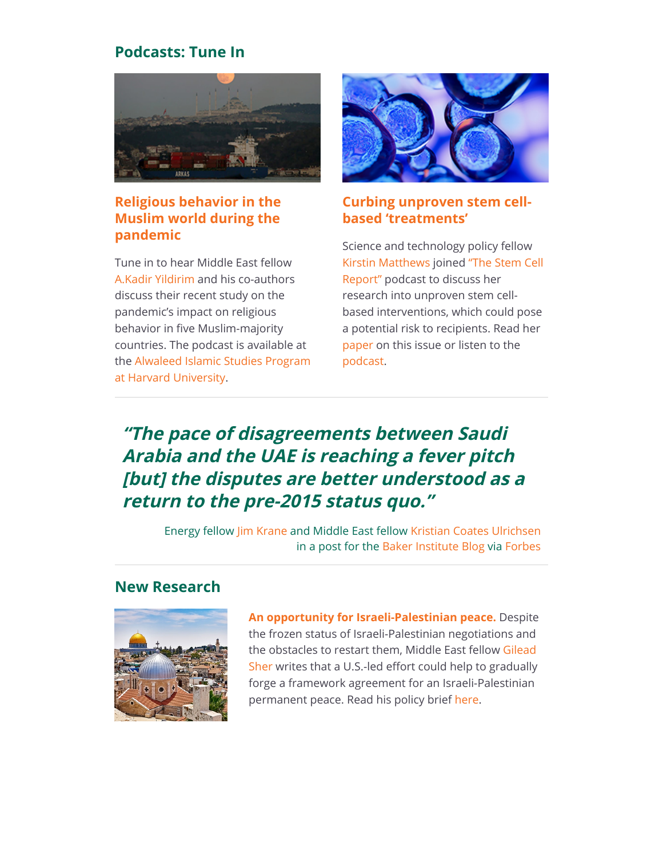## **Podcasts: Tune In**



## **[Religious behavior in the](https://riceconnect.rice.edu/page.redir?target=https%3a%2f%2fislamicstudies.harvard.edu%2fep-8-pandemic-religious-behavior-muslim-world-tarek-masoud-kadir-yildirim-and-peter%3fadmin_panel%3d1&srcid=240911&srctid=1&erid=e4a4aa18-188c-4887-a67c-480803755513&trid=e4a4aa18-188c-4887-a67c-480803755513) Muslim world during the pandemic**

Tune in to hear Middle East fellow [A.Kadir Yildirim](https://riceconnect.rice.edu/page.redir?target=https%3a%2f%2fwww.bakerinstitute.org%2fexperts%2fa-kadir-yildirim%2f&srcid=240911&srctid=1&erid=e4a4aa18-188c-4887-a67c-480803755513&trid=e4a4aa18-188c-4887-a67c-480803755513) and his co-authors discuss their recent study on the pandemic's impact on religious behavior in five Muslim-majority countries. The podcast is available at [the Alwaleed Islamic Studies Program](https://riceconnect.rice.edu/page.redir?target=https%3a%2f%2fislamicstudies.harvard.edu%2fep-8-pandemic-religious-behavior-muslim-world-tarek-masoud-kadir-yildirim-and-peter%3fadmin_panel%3d1&srcid=240911&srctid=1&erid=e4a4aa18-188c-4887-a67c-480803755513&trid=e4a4aa18-188c-4887-a67c-480803755513) at Harvard University.



## **[Curbing unproven stem cell](https://riceconnect.rice.edu/page.redir?target=https%3a%2f%2fthestemcellreport.buzzsprout.com%2f1661578%2f8837428-curbing-unproven-stem-cell-based-treatments&srcid=240911&srctid=1&erid=e4a4aa18-188c-4887-a67c-480803755513&trid=e4a4aa18-188c-4887-a67c-480803755513)based 'treatments'**

Science and technology policy fellow [Kirstin Matthew](https://riceconnect.rice.edu/page.redir?target=https%3a%2f%2fwww.bakerinstitute.org%2fexperts%2fkirstin-rw-matthews%2f&srcid=240911&srctid=1&erid=e4a4aa18-188c-4887-a67c-480803755513&trid=e4a4aa18-188c-4887-a67c-480803755513)[s joined "The Stem Cell](https://riceconnect.rice.edu/page.redir?target=https%3a%2f%2fthestemcellreport.buzzsprout.com%2f1661578%2f8837428-curbing-unproven-stem-cell-based-treatments&srcid=240911&srctid=1&erid=e4a4aa18-188c-4887-a67c-480803755513&trid=e4a4aa18-188c-4887-a67c-480803755513) Report" podcast to discuss her research into unproven stem cellbased interventions, which could pose a potential risk to recipients. Read her [paper](https://riceconnect.rice.edu/page.redir?target=https%3a%2f%2fwww.bakerinstitute.org%2fresearch%2funproven-stem-cell-interventions-global-public-health-problem-requiring-global-deliberation%2f&srcid=240911&srctid=1&erid=e4a4aa18-188c-4887-a67c-480803755513&trid=e4a4aa18-188c-4887-a67c-480803755513) on this issue or listen to the [podcast.](https://riceconnect.rice.edu/page.redir?target=https%3a%2f%2fthestemcellreport.buzzsprout.com%2f1661578%2f8837428-curbing-unproven-stem-cell-based-treatments&srcid=240911&srctid=1&erid=e4a4aa18-188c-4887-a67c-480803755513&trid=e4a4aa18-188c-4887-a67c-480803755513)

# **"The pace of disagreements between Saudi Arabia and the UAE is reaching a fever pitch [but] the disputes are better understood as a return to the pre-2015 status quo."**

Energy fellow [Jim Krane](https://riceconnect.rice.edu/page.redir?target=https%3a%2f%2fwww.bakerinstitute.org%2fexperts%2fjim-krane%2f&srcid=240911&srctid=1&erid=e4a4aa18-188c-4887-a67c-480803755513&trid=e4a4aa18-188c-4887-a67c-480803755513) and Middle East fellow [Kristian Coates Ulrichsen](https://riceconnect.rice.edu/page.redir?target=https%3a%2f%2fwww.bakerinstitute.org%2fexperts%2fkristian-coates-ulrichsen%2f&srcid=240911&srctid=1&erid=e4a4aa18-188c-4887-a67c-480803755513&trid=e4a4aa18-188c-4887-a67c-480803755513) in a post for the [Baker Institute Blog v](https://riceconnect.rice.edu/page.redir?target=https%3a%2f%2fblog.bakerinstitute.org%2f2021%2f07%2f16%2fthe-saudi-uae-bust-up-is-a-return-to-the-persian-gulf-status-quo%2f&srcid=240911&srctid=1&erid=e4a4aa18-188c-4887-a67c-480803755513&trid=e4a4aa18-188c-4887-a67c-480803755513)ia [Forbes](https://riceconnect.rice.edu/page.redir?target=https%3a%2f%2fwww.forbes.com%2fsites%2fthebakersinstitute%2f2021%2f07%2f16%2fthe-saudi-uae-bust-up-is-a-return-to-the-persian-gulf-status-quo%2f%3fsh%3d687f36e37428&srcid=240911&srctid=1&erid=e4a4aa18-188c-4887-a67c-480803755513&trid=e4a4aa18-188c-4887-a67c-480803755513)

## **New Research**



**[An opportunity for Israeli-Palestinian peace.](https://riceconnect.rice.edu/page.redir?target=https%3a%2f%2fwww.bakerinstitute.org%2fresearch%2fframework-agreement-israeli-palestinian-permanent-peace%2f&srcid=240911&srctid=1&erid=e4a4aa18-188c-4887-a67c-480803755513&trid=e4a4aa18-188c-4887-a67c-480803755513)** Despite the frozen status of Israeli-Palestinian negotiations and the obstacles to restart them, Middle East fellow Gilead [Sher writes that a U.S.-led effort could help to gradually](https://riceconnect.rice.edu/page.redir?target=https%3a%2f%2fwww.bakerinstitute.org%2fexperts%2fgilead-sher%2f&srcid=240911&srctid=1&erid=e4a4aa18-188c-4887-a67c-480803755513&trid=e4a4aa18-188c-4887-a67c-480803755513) forge a framework agreement for an Israeli-Palestinian permanent peace. Read his policy brief [here](https://riceconnect.rice.edu/page.redir?target=https%3a%2f%2fwww.bakerinstitute.org%2fresearch%2fframework-agreement-israeli-palestinian-permanent-peace%2f&srcid=240911&srctid=1&erid=e4a4aa18-188c-4887-a67c-480803755513&trid=e4a4aa18-188c-4887-a67c-480803755513).